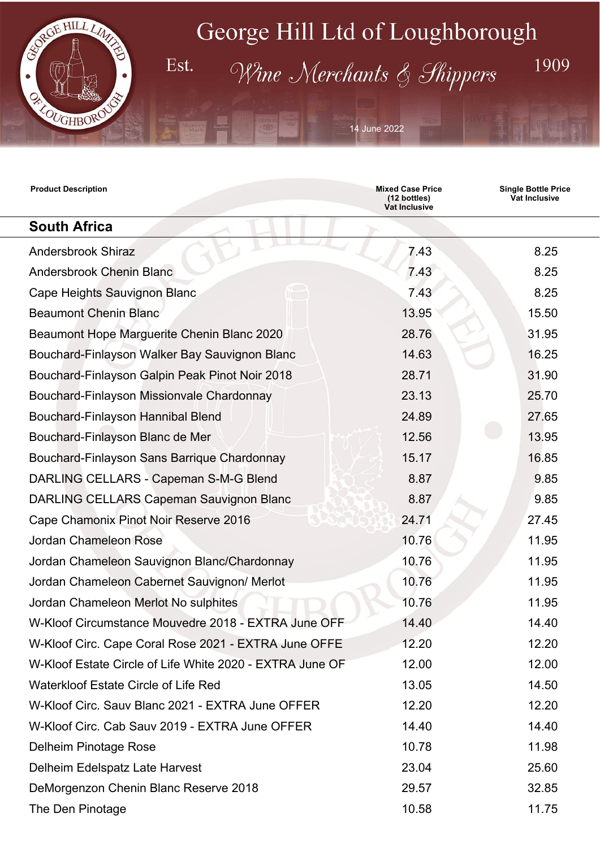

Est.

## George Hill Ltd of Loughborough

Wine Merchants & Shippers

14 June 2022

| <b>Product Description</b>                               | <b>Mixed Case Price</b><br>(12 bottles)<br>Vat Inclusive | <b>Single Bottle Price</b><br><b>Vat Inclusive</b> |
|----------------------------------------------------------|----------------------------------------------------------|----------------------------------------------------|
| <b>South Africa</b>                                      |                                                          |                                                    |
| <b>Andersbrook Shiraz</b>                                | 7.43                                                     | 8.25                                               |
| <b>Andersbrook Chenin Blanc</b>                          | 7.43                                                     | 8.25                                               |
| Cape Heights Sauvignon Blanc                             | 7.43                                                     | 8.25                                               |
| <b>Beaumont Chenin Blanc</b>                             | 13.95                                                    | 15.50                                              |
| Beaumont Hope Marguerite Chenin Blanc 2020               | 28.76                                                    | 31.95                                              |
| Bouchard-Finlayson Walker Bay Sauvignon Blanc            | 14.63                                                    | 16.25                                              |
| Bouchard-Finlayson Galpin Peak Pinot Noir 2018           | 28.71                                                    | 31.90                                              |
| Bouchard-Finlayson Missionvale Chardonnay                | 23.13                                                    | 25.70                                              |
| Bouchard-Finlayson Hannibal Blend                        | 24.89                                                    | 27.65                                              |
| Bouchard-Finlayson Blanc de Mer                          | 12.56                                                    | 13.95                                              |
| Bouchard-Finlayson Sans Barrique Chardonnay              | 15.17                                                    | 16.85                                              |
| DARLING CELLARS - Capeman S-M-G Blend                    | 8.87                                                     | 9.85                                               |
| <b>DARLING CELLARS Capeman Sauvignon Blanc</b>           | 8.87                                                     | 9.85                                               |
| Cape Chamonix Pinot Noir Reserve 2016                    | 24.71                                                    | 27.45                                              |
| Jordan Chameleon Rose                                    | 10.76                                                    | 11.95                                              |
| Jordan Chameleon Sauvignon Blanc/Chardonnay              | 10.76                                                    | 11.95                                              |
| Jordan Chameleon Cabernet Sauvignon/ Merlot              | 10.76                                                    | 11.95                                              |
| Jordan Chameleon Merlot No sulphites                     | 10.76                                                    | 11.95                                              |
| W-Kloof Circumstance Mouvedre 2018 - EXTRA June OFF      | 14.40                                                    | 14.40                                              |
| W-Kloof Circ. Cape Coral Rose 2021 - EXTRA June OFFE     | 12.20                                                    | 12.20                                              |
| W-Kloof Estate Circle of Life White 2020 - EXTRA June OF | 12.00                                                    | 12.00                                              |
| <b>Waterkloof Estate Circle of Life Red</b>              | 13.05                                                    | 14.50                                              |
| W-Kloof Circ. Sauv Blanc 2021 - EXTRA June OFFER         | 12.20                                                    | 12.20                                              |
| W-Kloof Circ. Cab Sauv 2019 - EXTRA June OFFER           | 14.40                                                    | 14.40                                              |
| Delheim Pinotage Rose                                    | 10.78                                                    | 11.98                                              |
| Delheim Edelspatz Late Harvest                           | 23.04                                                    | 25.60                                              |
| DeMorgenzon Chenin Blanc Reserve 2018                    | 29.57                                                    | 32.85                                              |
| The Den Pinotage                                         | 10.58                                                    | 11.75                                              |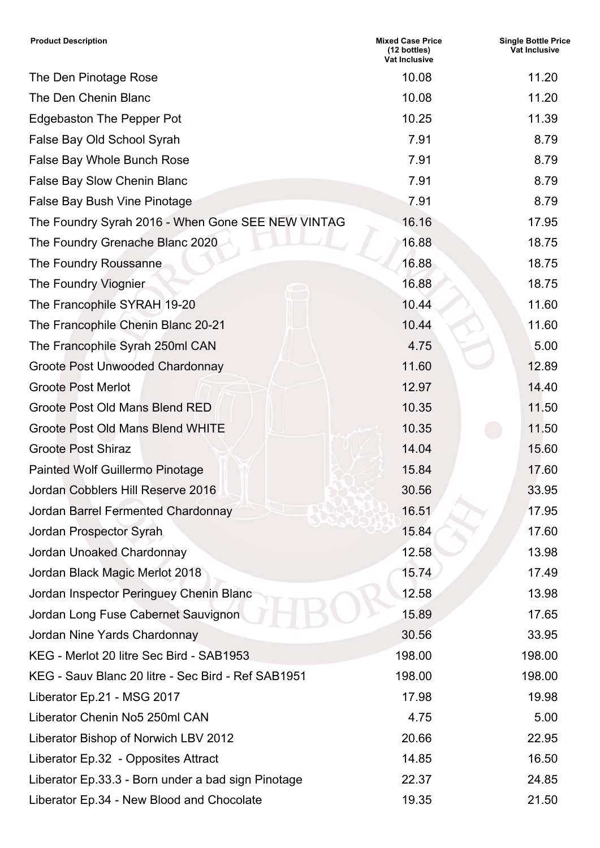| <b>Product Description</b>                         | <b>Mixed Case Price</b><br>(12 bottles)<br>Vat Inclusive | <b>Single Bottle Price</b><br>Vat Inclusive |
|----------------------------------------------------|----------------------------------------------------------|---------------------------------------------|
| The Den Pinotage Rose                              | 10.08                                                    | 11.20                                       |
| The Den Chenin Blanc                               | 10.08                                                    | 11.20                                       |
| <b>Edgebaston The Pepper Pot</b>                   | 10.25                                                    | 11.39                                       |
| False Bay Old School Syrah                         | 7.91                                                     | 8.79                                        |
| False Bay Whole Bunch Rose                         | 7.91                                                     | 8.79                                        |
| False Bay Slow Chenin Blanc                        | 7.91                                                     | 8.79                                        |
| False Bay Bush Vine Pinotage                       | 7.91                                                     | 8.79                                        |
| The Foundry Syrah 2016 - When Gone SEE NEW VINTAG  | 16.16                                                    | 17.95                                       |
| The Foundry Grenache Blanc 2020                    | 16.88                                                    | 18.75                                       |
| The Foundry Roussanne                              | 16.88                                                    | 18.75                                       |
| The Foundry Viognier                               | 16.88                                                    | 18.75                                       |
| The Francophile SYRAH 19-20                        | 10.44                                                    | 11.60                                       |
| The Francophile Chenin Blanc 20-21                 | 10.44                                                    | 11.60                                       |
| The Francophile Syrah 250ml CAN                    | 4.75                                                     | 5.00                                        |
| Groote Post Unwooded Chardonnay                    | 11.60                                                    | 12.89                                       |
| <b>Groote Post Merlot</b>                          | 12.97                                                    | 14.40                                       |
| Groote Post Old Mans Blend RED                     | 10.35                                                    | 11.50                                       |
| <b>Groote Post Old Mans Blend WHITE</b>            | 10.35                                                    | 11.50                                       |
| <b>Groote Post Shiraz</b>                          | 14.04                                                    | 15.60                                       |
| Painted Wolf Guillermo Pinotage                    | 15.84                                                    | 17.60                                       |
| Jordan Cobblers Hill Reserve 2016                  | 30.56                                                    | 33.95                                       |
| Jordan Barrel Fermented Chardonnay                 | 16.51                                                    | 17.95                                       |
| Jordan Prospector Syrah                            | 15.84                                                    | 17.60                                       |
| Jordan Unoaked Chardonnay                          | 12.58                                                    | 13.98                                       |
| Jordan Black Magic Merlot 2018                     | 15.74                                                    | 17.49                                       |
| Jordan Inspector Peringuey Chenin Blanc            | 12.58                                                    | 13.98                                       |
| Jordan Long Fuse Cabernet Sauvignon                | 15.89                                                    | 17.65                                       |
| Jordan Nine Yards Chardonnay                       | 30.56                                                    | 33.95                                       |
| KEG - Merlot 20 litre Sec Bird - SAB1953           | 198.00                                                   | 198.00                                      |
| KEG - Sauv Blanc 20 litre - Sec Bird - Ref SAB1951 | 198.00                                                   | 198.00                                      |
| Liberator Ep.21 - MSG 2017                         | 17.98                                                    | 19.98                                       |
| Liberator Chenin No5 250ml CAN                     | 4.75                                                     | 5.00                                        |
| Liberator Bishop of Norwich LBV 2012               | 20.66                                                    | 22.95                                       |
| Liberator Ep.32 - Opposites Attract                | 14.85                                                    | 16.50                                       |
| Liberator Ep.33.3 - Born under a bad sign Pinotage | 22.37                                                    | 24.85                                       |
| Liberator Ep.34 - New Blood and Chocolate          | 19.35                                                    | 21.50                                       |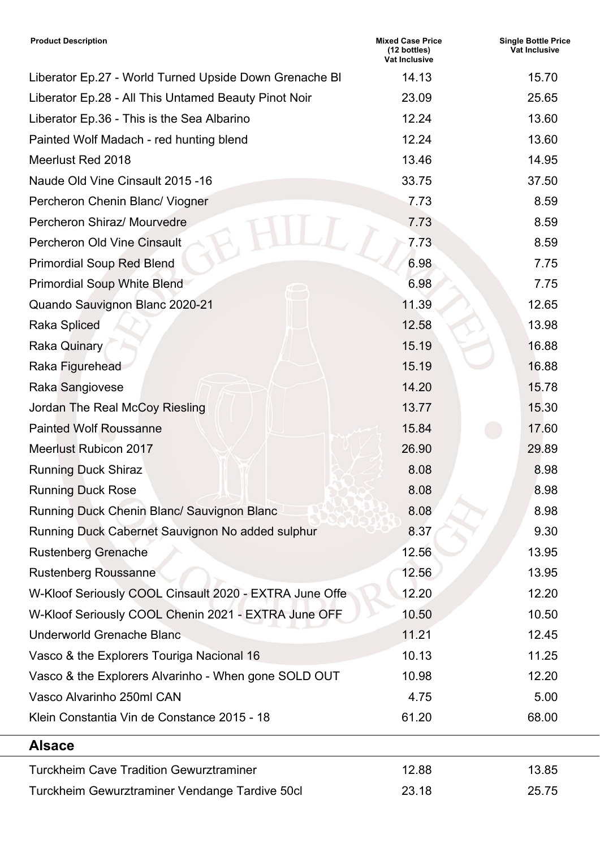| <b>Product Description</b>                             | <b>Mixed Case Price</b><br>(12 bottles)<br>Vat Inclusive | <b>Single Bottle Price</b><br><b>Vat Inclusive</b> |
|--------------------------------------------------------|----------------------------------------------------------|----------------------------------------------------|
| Liberator Ep.27 - World Turned Upside Down Grenache BI | 14.13                                                    | 15.70                                              |
| Liberator Ep.28 - All This Untamed Beauty Pinot Noir   | 23.09                                                    | 25.65                                              |
| Liberator Ep.36 - This is the Sea Albarino             | 12.24                                                    | 13.60                                              |
| Painted Wolf Madach - red hunting blend                | 12.24                                                    | 13.60                                              |
| Meerlust Red 2018                                      | 13.46                                                    | 14.95                                              |
| Naude Old Vine Cinsault 2015 - 16                      | 33.75                                                    | 37.50                                              |
| Percheron Chenin Blanc/ Viogner                        | 7.73                                                     | 8.59                                               |
| Percheron Shiraz/ Mourvedre                            | 7.73                                                     | 8.59                                               |
| <b>Percheron Old Vine Cinsault</b>                     | 7.73                                                     | 8.59                                               |
| <b>Primordial Soup Red Blend</b>                       | 6.98                                                     | 7.75                                               |
| <b>Primordial Soup White Blend</b>                     | 6.98                                                     | 7.75                                               |
| Quando Sauvignon Blanc 2020-21                         | 11.39                                                    | 12.65                                              |
| <b>Raka Spliced</b>                                    | 12.58                                                    | 13.98                                              |
| Raka Quinary                                           | 15.19                                                    | 16.88                                              |
| Raka Figurehead                                        | 15.19                                                    | 16.88                                              |
| Raka Sangiovese                                        | 14.20                                                    | 15.78                                              |
| Jordan The Real McCoy Riesling                         | 13.77                                                    | 15.30                                              |
| <b>Painted Wolf Roussanne</b>                          | 15.84                                                    | 17.60                                              |
| <b>Meerlust Rubicon 2017</b>                           | 26.90                                                    | 29.89                                              |
| <b>Running Duck Shiraz</b>                             | 8.08                                                     | 8.98                                               |
| <b>Running Duck Rose</b>                               | 8.08                                                     | 8.98                                               |
| Running Duck Chenin Blanc/ Sauvignon Blanc             | 8.08                                                     | 8.98                                               |
| Running Duck Cabernet Sauvignon No added sulphur       | 8.37                                                     | 9.30                                               |
| <b>Rustenberg Grenache</b>                             | 12.56                                                    | 13.95                                              |
| <b>Rustenberg Roussanne</b>                            | 12.56                                                    | 13.95                                              |
| W-Kloof Seriously COOL Cinsault 2020 - EXTRA June Offe | 12.20                                                    | 12.20                                              |
| W-Kloof Seriously COOL Chenin 2021 - EXTRA June OFF    | 10.50                                                    | 10.50                                              |
| <b>Underworld Grenache Blanc</b>                       | 11.21                                                    | 12.45                                              |
| Vasco & the Explorers Touriga Nacional 16              | 10.13                                                    | 11.25                                              |
| Vasco & the Explorers Alvarinho - When gone SOLD OUT   | 10.98                                                    | 12.20                                              |
| Vasco Alvarinho 250ml CAN                              | 4.75                                                     | 5.00                                               |
| Klein Constantia Vin de Constance 2015 - 18            | 61.20                                                    | 68.00                                              |
| <b>Alsace</b>                                          |                                                          |                                                    |
| <b>Turckheim Cave Tradition Gewurztraminer</b>         | 12.88                                                    | 13.85                                              |
| Turckheim Gewurztraminer Vendange Tardive 50cl         | 23.18                                                    | 25.75                                              |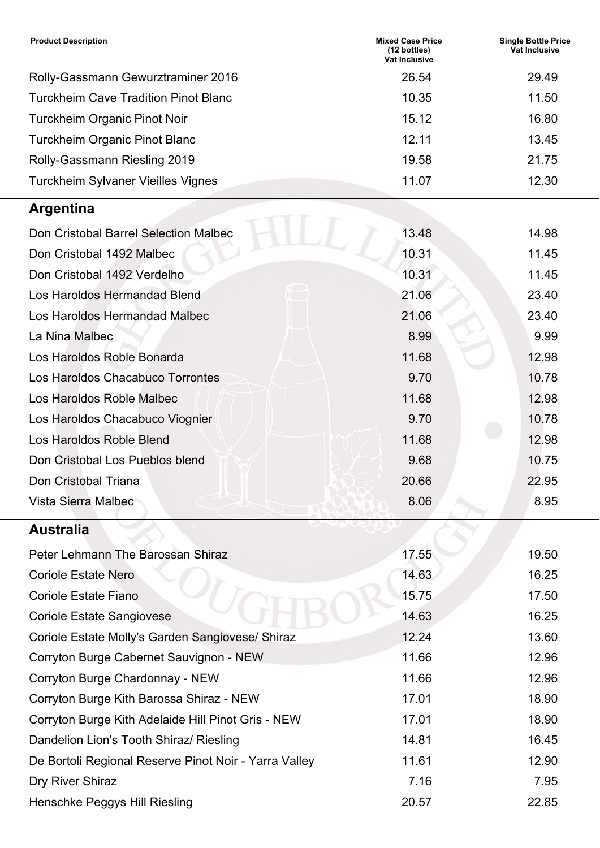| <b>Product Description</b>                            | <b>Mixed Case Price</b><br>(12 bottles)<br>Vat Inclusive | <b>Single Bottle Price</b><br>Vat Inclusive |
|-------------------------------------------------------|----------------------------------------------------------|---------------------------------------------|
| Rolly-Gassmann Gewurztraminer 2016                    | 26.54                                                    | 29.49                                       |
| <b>Turckheim Cave Tradition Pinot Blanc</b>           | 10.35                                                    | 11.50                                       |
| Turckheim Organic Pinot Noir                          | 15.12                                                    | 16.80                                       |
| <b>Turckheim Organic Pinot Blanc</b>                  | 12.11                                                    | 13.45                                       |
| Rolly-Gassmann Riesling 2019                          | 19.58                                                    | 21.75                                       |
| <b>Turckheim Sylvaner Vieilles Vignes</b>             | 11.07                                                    | 12.30                                       |
| <b>Argentina</b>                                      |                                                          |                                             |
| Don Cristobal Barrel Selection Malbec                 | 13.48                                                    | 14.98                                       |
| Don Cristobal 1492 Malbec                             | 10.31                                                    | 11.45                                       |
| Don Cristobal 1492 Verdelho                           | 10.31                                                    | 11.45                                       |
| Los Haroldos Hermandad Blend                          | 21.06                                                    | 23.40                                       |
| Los Haroldos Hermandad Malbec                         | 21.06                                                    | 23.40                                       |
| La Nina Malbec                                        | 8.99                                                     | 9.99                                        |
| Los Haroldos Roble Bonarda                            | 11.68                                                    | 12.98                                       |
| Los Haroldos Chacabuco Torrontes                      | 9.70                                                     | 10.78                                       |
| Los Haroldos Roble Malbec                             | 11.68                                                    | 12.98                                       |
| Los Haroldos Chacabuco Viognier                       | 9.70                                                     | 10.78                                       |
| Los Haroldos Roble Blend                              | 11.68                                                    | 12.98                                       |
| Don Cristobal Los Pueblos blend                       | 9.68                                                     | 10.75                                       |
| Don Cristobal Triana                                  | 20.66                                                    | 22.95                                       |
| Vista Sierra Malbec                                   | 8.06                                                     | 8.95                                        |
| <b>Australia</b>                                      |                                                          |                                             |
| Peter Lehmann The Barossan Shiraz                     | 17.55                                                    | 19.50                                       |
| <b>Coriole Estate Nero</b>                            | 14.63                                                    | 16.25                                       |
| <b>Coriole Estate Fiano</b>                           | 15.75                                                    | 17.50                                       |
| <b>Coriole Estate Sangiovese</b>                      | 14.63                                                    | 16.25                                       |
| Coriole Estate Molly's Garden Sangiovese/ Shiraz      | 12.24                                                    | 13.60                                       |
| Corryton Burge Cabernet Sauvignon - NEW               | 11.66                                                    | 12.96                                       |
| Corryton Burge Chardonnay - NEW                       | 11.66                                                    | 12.96                                       |
| Corryton Burge Kith Barossa Shiraz - NEW              | 17.01                                                    | 18.90                                       |
| Corryton Burge Kith Adelaide Hill Pinot Gris - NEW    | 17.01                                                    | 18.90                                       |
| Dandelion Lion's Tooth Shiraz/ Riesling               | 14.81                                                    | 16.45                                       |
| De Bortoli Regional Reserve Pinot Noir - Yarra Valley | 11.61                                                    | 12.90                                       |
| Dry River Shiraz                                      | 7.16                                                     | 7.95                                        |
| Henschke Peggys Hill Riesling                         | 20.57                                                    | 22.85                                       |

Ξ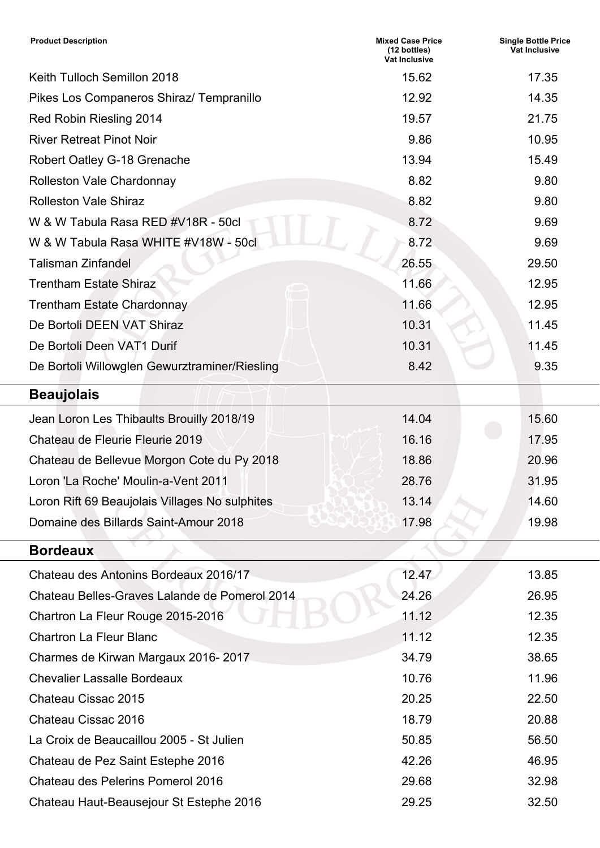| <b>Product Description</b>                     | <b>Mixed Case Price</b><br>(12 bottles)<br><b>Vat Inclusive</b> | <b>Single Bottle Price</b><br><b>Vat Inclusive</b> |
|------------------------------------------------|-----------------------------------------------------------------|----------------------------------------------------|
| Keith Tulloch Semillon 2018                    | 15.62                                                           | 17.35                                              |
| Pikes Los Companeros Shiraz/ Tempranillo       | 12.92                                                           | 14.35                                              |
| Red Robin Riesling 2014                        | 19.57                                                           | 21.75                                              |
| <b>River Retreat Pinot Noir</b>                | 9.86                                                            | 10.95                                              |
| Robert Oatley G-18 Grenache                    | 13.94                                                           | 15.49                                              |
| <b>Rolleston Vale Chardonnay</b>               | 8.82                                                            | 9.80                                               |
| <b>Rolleston Vale Shiraz</b>                   | 8.82                                                            | 9.80                                               |
| W & W Tabula Rasa RED #V18R - 50cl             | 8.72                                                            | 9.69                                               |
| W & W Tabula Rasa WHITE #V18W - 50cl           | 8.72                                                            | 9.69                                               |
| <b>Talisman Zinfandel</b>                      | 26.55                                                           | 29.50                                              |
| <b>Trentham Estate Shiraz</b>                  | 11.66                                                           | 12.95                                              |
| <b>Trentham Estate Chardonnay</b>              | 11.66                                                           | 12.95                                              |
| De Bortoli DEEN VAT Shiraz                     | 10.31                                                           | 11.45                                              |
| De Bortoli Deen VAT1 Durif                     | 10.31                                                           | 11.45                                              |
| De Bortoli Willowglen Gewurztraminer/Riesling  | 8.42                                                            | 9.35                                               |
| <b>Beaujolais</b>                              |                                                                 |                                                    |
| Jean Loron Les Thibaults Brouilly 2018/19      | 14.04                                                           | 15.60                                              |
| Chateau de Fleurie Fleurie 2019                | 16.16                                                           | 17.95                                              |
| Chateau de Bellevue Morgon Cote du Py 2018     | 18.86                                                           | 20.96                                              |
| Loron 'La Roche' Moulin-a-Vent 2011            | 28.76                                                           | 31.95                                              |
| Loron Rift 69 Beaujolais Villages No sulphites | 13.14                                                           | 14.60                                              |
| Domaine des Billards Saint-Amour 2018          | 17.98                                                           | 19.98                                              |
| <b>Bordeaux</b>                                |                                                                 |                                                    |
| Chateau des Antonins Bordeaux 2016/17          | 12.47                                                           | 13.85                                              |
| Chateau Belles-Graves Lalande de Pomerol 2014  | 24.26                                                           | 26.95                                              |
| Chartron La Fleur Rouge 2015-2016              | 11.12                                                           | 12.35                                              |
| <b>Chartron La Fleur Blanc</b>                 | 11.12                                                           | 12.35                                              |
| Charmes de Kirwan Margaux 2016-2017            | 34.79                                                           | 38.65                                              |
| <b>Chevalier Lassalle Bordeaux</b>             | 10.76                                                           | 11.96                                              |
| Chateau Cissac 2015                            | 20.25                                                           | 22.50                                              |
| Chateau Cissac 2016                            | 18.79                                                           | 20.88                                              |
| La Croix de Beaucaillou 2005 - St Julien       | 50.85                                                           | 56.50                                              |
| Chateau de Pez Saint Estephe 2016              | 42.26                                                           | 46.95                                              |
| Chateau des Pelerins Pomerol 2016              | 29.68                                                           | 32.98                                              |
| Chateau Haut-Beausejour St Estephe 2016        | 29.25                                                           | 32.50                                              |

Ξ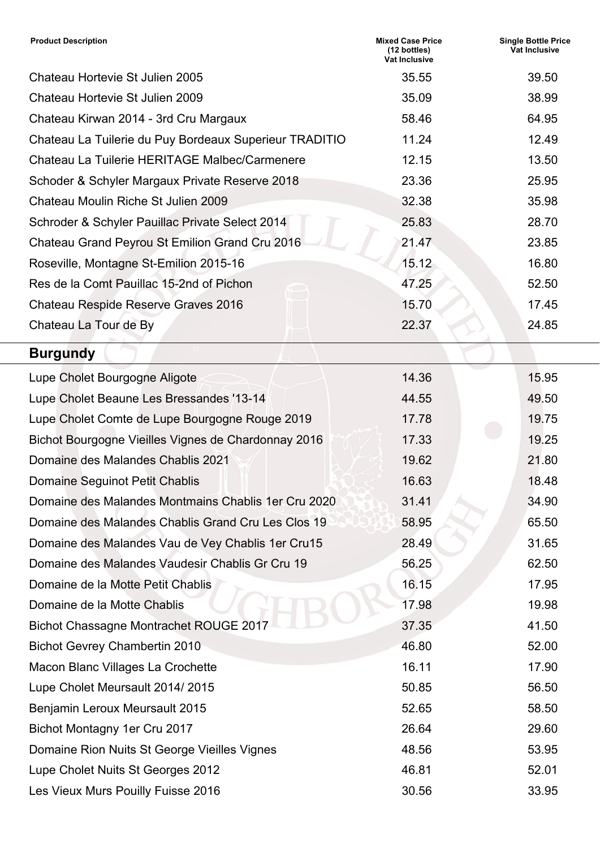| <b>Product Description</b>                             | <b>Mixed Case Price</b><br>$(12 \text{ bottles})$<br><b>Vat Inclusive</b> | <b>Single Bottle Price</b><br><b>Vat Inclusive</b> |
|--------------------------------------------------------|---------------------------------------------------------------------------|----------------------------------------------------|
| Chateau Hortevie St Julien 2005                        | 35.55                                                                     | 39.50                                              |
| Chateau Hortevie St Julien 2009                        | 35.09                                                                     | 38.99                                              |
| Chateau Kirwan 2014 - 3rd Cru Margaux                  | 58.46                                                                     | 64.95                                              |
| Chateau La Tuilerie du Puy Bordeaux Superieur TRADITIO | 11.24                                                                     | 12.49                                              |
| Chateau La Tuilerie HERITAGE Malbec/Carmenere          | 12.15                                                                     | 13.50                                              |
| Schoder & Schyler Margaux Private Reserve 2018         | 23.36                                                                     | 25.95                                              |
| Chateau Moulin Riche St Julien 2009                    | 32.38                                                                     | 35.98                                              |
| Schroder & Schyler Pauillac Private Select 2014        | 25.83                                                                     | 28.70                                              |
| Chateau Grand Peyrou St Emilion Grand Cru 2016         | 21.47                                                                     | 23.85                                              |
| Roseville, Montagne St-Emilion 2015-16                 | 15.12                                                                     | 16.80                                              |
| Res de la Comt Pauillac 15-2nd of Pichon               | 47.25                                                                     | 52.50                                              |
| Chateau Respide Reserve Graves 2016                    | 15.70                                                                     | 17.45                                              |
| Chateau La Tour de By                                  | 22.37                                                                     | 24.85                                              |
| <b>Burgundy</b>                                        |                                                                           |                                                    |
| Lupe Cholet Bourgogne Aligote                          | 14.36                                                                     | 15.95                                              |
| Lupe Cholet Beaune Les Bressandes '13-14               | 44.55                                                                     | 49.50                                              |
| Lupe Cholet Comte de Lupe Bourgogne Rouge 2019         | 17.78                                                                     | 19.75                                              |
| Bichot Bourgogne Vieilles Vignes de Chardonnay 2016    | 17.33                                                                     | 19.25                                              |
| Domaine des Malandes Chablis 2021                      | 19.62                                                                     | 21.80                                              |
| <b>Domaine Seguinot Petit Chablis</b>                  | 16.63                                                                     | 18.48                                              |
| Domaine des Malandes Montmains Chablis 1 er Cru 2020   | 31.41                                                                     | 34.90                                              |
| Domaine des Malandes Chablis Grand Cru Les Clos 19     | 58.95                                                                     | 65.50                                              |
| Domaine des Malandes Vau de Vey Chablis 1er Cru15      | 28.49                                                                     | 31.65                                              |
| Domaine des Malandes Vaudesir Chablis Gr Cru 19        | 56.25                                                                     | 62.50                                              |
| Domaine de la Motte Petit Chablis                      | 16.15                                                                     | 17.95                                              |
| Domaine de la Motte Chablis                            | 17.98                                                                     | 19.98                                              |
| <b>Bichot Chassagne Montrachet ROUGE 2017</b>          | 37.35                                                                     | 41.50                                              |
| <b>Bichot Gevrey Chambertin 2010</b>                   | 46.80                                                                     | 52.00                                              |
| Macon Blanc Villages La Crochette                      | 16.11                                                                     | 17.90                                              |
| Lupe Cholet Meursault 2014/2015                        | 50.85                                                                     | 56.50                                              |
| Benjamin Leroux Meursault 2015                         | 52.65                                                                     | 58.50                                              |
| Bichot Montagny 1er Cru 2017                           | 26.64                                                                     | 29.60                                              |
| Domaine Rion Nuits St George Vieilles Vignes           | 48.56                                                                     | 53.95                                              |
| Lupe Cholet Nuits St Georges 2012                      | 46.81                                                                     | 52.01                                              |
| Les Vieux Murs Pouilly Fuisse 2016                     | 30.56                                                                     | 33.95                                              |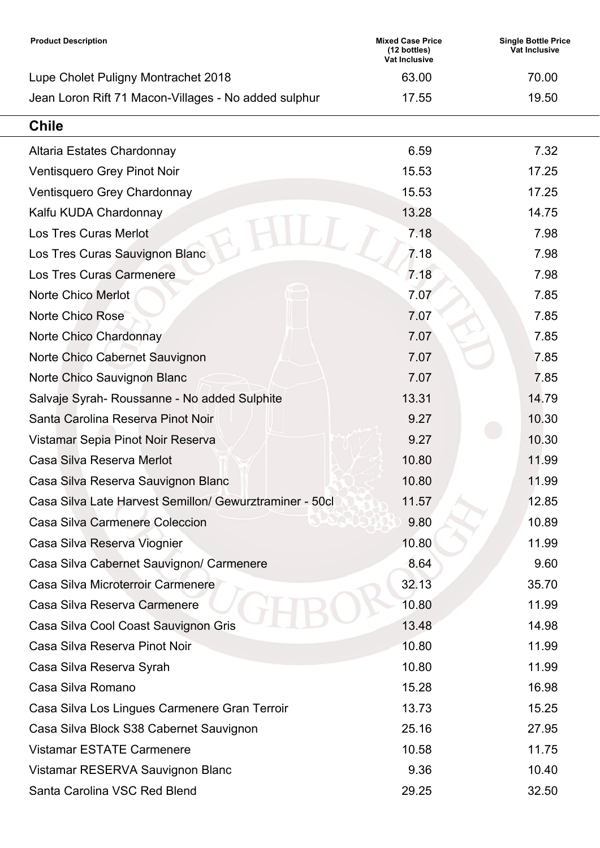| <b>Product Description</b>                              | <b>Mixed Case Price</b><br>(12 bottles)<br><b>Vat Inclusive</b> | <b>Single Bottle Price</b><br>Vat Inclusive |
|---------------------------------------------------------|-----------------------------------------------------------------|---------------------------------------------|
| Lupe Cholet Puligny Montrachet 2018                     | 63.00                                                           | 70.00                                       |
| Jean Loron Rift 71 Macon-Villages - No added sulphur    | 17.55                                                           | 19.50                                       |
| <b>Chile</b>                                            |                                                                 |                                             |
| Altaria Estates Chardonnay                              | 6.59                                                            | 7.32                                        |
| Ventisquero Grey Pinot Noir                             | 15.53                                                           | 17.25                                       |
| Ventisquero Grey Chardonnay                             | 15.53                                                           | 17.25                                       |
| Kalfu KUDA Chardonnay                                   | 13.28                                                           | 14.75                                       |
| <b>Los Tres Curas Merlot</b>                            | 7.18                                                            | 7.98                                        |
| Los Tres Curas Sauvignon Blanc                          | 7.18                                                            | 7.98                                        |
| <b>Los Tres Curas Carmenere</b>                         | 7.18                                                            | 7.98                                        |
| <b>Norte Chico Merlot</b>                               | 7.07                                                            | 7.85                                        |
| Norte Chico Rose                                        | 7.07                                                            | 7.85                                        |
| Norte Chico Chardonnay                                  | 7.07                                                            | 7.85                                        |
| Norte Chico Cabernet Sauvignon                          | 7.07                                                            | 7.85                                        |
| Norte Chico Sauvignon Blanc                             | 7.07                                                            | 7.85                                        |
| Salvaje Syrah- Roussanne - No added Sulphite            | 13.31                                                           | 14.79                                       |
| Santa Carolina Reserva Pinot Noir                       | 9.27                                                            | 10.30                                       |
| Vistamar Sepia Pinot Noir Reserva                       | 9.27                                                            | 10.30                                       |
| Casa Silva Reserva Merlot                               | 10.80                                                           | 11.99                                       |
| Casa Silva Reserva Sauvignon Blanc                      | 10.80                                                           | 11.99                                       |
| Casa Silva Late Harvest Semillon/ Gewurztraminer - 50cl | 11.57                                                           | 12.85                                       |
| <b>Casa Silva Carmenere Coleccion</b>                   | 9.80                                                            | 10.89                                       |
| Casa Silva Reserva Viognier                             | 10.80                                                           | 11.99                                       |
| Casa Silva Cabernet Sauvignon/ Carmenere                | 8.64                                                            | 9.60                                        |
| Casa Silva Microterroir Carmenere                       | 32.13                                                           | 35.70                                       |
| Casa Silva Reserva Carmenere                            | 10.80                                                           | 11.99                                       |
| Casa Silva Cool Coast Sauvignon Gris                    | 13.48                                                           | 14.98                                       |
| Casa Silva Reserva Pinot Noir                           | 10.80                                                           | 11.99                                       |
| Casa Silva Reserva Syrah                                | 10.80                                                           | 11.99                                       |
| Casa Silva Romano                                       | 15.28                                                           | 16.98                                       |
| Casa Silva Los Lingues Carmenere Gran Terroir           | 13.73                                                           | 15.25                                       |
| Casa Silva Block S38 Cabernet Sauvignon                 | 25.16                                                           | 27.95                                       |
| <b>Vistamar ESTATE Carmenere</b>                        | 10.58                                                           | 11.75                                       |
| Vistamar RESERVA Sauvignon Blanc                        | 9.36                                                            | 10.40                                       |
| Santa Carolina VSC Red Blend                            | 29.25                                                           | 32.50                                       |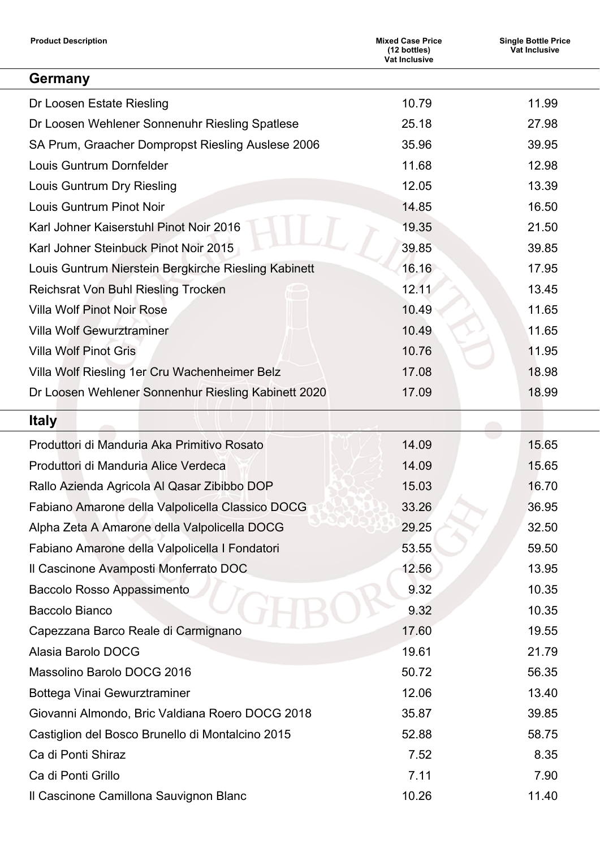| <b>Product Description</b>                           | <b>Mixed Case Price</b><br>(12 bottles)<br>Vat Inclusive | <b>Single Bottle Price</b><br><b>Vat Inclusive</b> |
|------------------------------------------------------|----------------------------------------------------------|----------------------------------------------------|
| Germany                                              |                                                          |                                                    |
| Dr Loosen Estate Riesling                            | 10.79                                                    | 11.99                                              |
| Dr Loosen Wehlener Sonnenuhr Riesling Spatlese       | 25.18                                                    | 27.98                                              |
| SA Prum, Graacher Dompropst Riesling Auslese 2006    | 35.96                                                    | 39.95                                              |
| Louis Guntrum Dornfelder                             | 11.68                                                    | 12.98                                              |
| Louis Guntrum Dry Riesling                           | 12.05                                                    | 13.39                                              |
| <b>Louis Guntrum Pinot Noir</b>                      | 14.85                                                    | 16.50                                              |
| Karl Johner Kaiserstuhl Pinot Noir 2016              | 19.35                                                    | 21.50                                              |
| Karl Johner Steinbuck Pinot Noir 2015                | 39.85                                                    | 39.85                                              |
| Louis Guntrum Nierstein Bergkirche Riesling Kabinett | 16.16                                                    | 17.95                                              |
| <b>Reichsrat Von Buhl Riesling Trocken</b>           | 12.11                                                    | 13.45                                              |
| <b>Villa Wolf Pinot Noir Rose</b>                    | 10.49                                                    | 11.65                                              |
| <b>Villa Wolf Gewurztraminer</b>                     | 10.49                                                    | 11.65                                              |
| <b>Villa Wolf Pinot Gris</b>                         | 10.76                                                    | 11.95                                              |
| Villa Wolf Riesling 1er Cru Wachenheimer Belz        | 17.08                                                    | 18.98                                              |
| Dr Loosen Wehlener Sonnenhur Riesling Kabinett 2020  | 17.09                                                    | 18.99                                              |
| <b>Italy</b>                                         |                                                          |                                                    |
| Produttori di Manduria Aka Primitivo Rosato          | 14.09                                                    | 15.65                                              |
| Produttori di Manduria Alice Verdeca                 | 14.09                                                    | 15.65                                              |
| Rallo Azienda Agricola Al Qasar Zibibbo DOP          | 15.03                                                    | 16.70                                              |
| Fabiano Amarone della Valpolicella Classico DOCG     | 33.26                                                    | 36.95                                              |
| Alpha Zeta A Amarone della Valpolicella DOCG         | 29.25                                                    | 32.50                                              |
| Fabiano Amarone della Valpolicella I Fondatori       | 53.55                                                    | 59.50                                              |
| Il Cascinone Avamposti Monferrato DOC                | 12.56                                                    | 13.95                                              |
| Baccolo Rosso Appassimento                           | 9.32                                                     | 10.35                                              |
| <b>Baccolo Bianco</b>                                | 9.32                                                     | 10.35                                              |
| Capezzana Barco Reale di Carmignano                  | 17.60                                                    | 19.55                                              |
| Alasia Barolo DOCG                                   | 19.61                                                    | 21.79                                              |
| Massolino Barolo DOCG 2016                           | 50.72                                                    | 56.35                                              |
| Bottega Vinai Gewurztraminer                         | 12.06                                                    | 13.40                                              |
| Giovanni Almondo, Bric Valdiana Roero DOCG 2018      | 35.87                                                    | 39.85                                              |
| Castiglion del Bosco Brunello di Montalcino 2015     | 52.88                                                    | 58.75                                              |
| Ca di Ponti Shiraz                                   | 7.52                                                     | 8.35                                               |
| Ca di Ponti Grillo                                   | 7.11                                                     | 7.90                                               |
| Il Cascinone Camillona Sauvignon Blanc               | 10.26                                                    | 11.40                                              |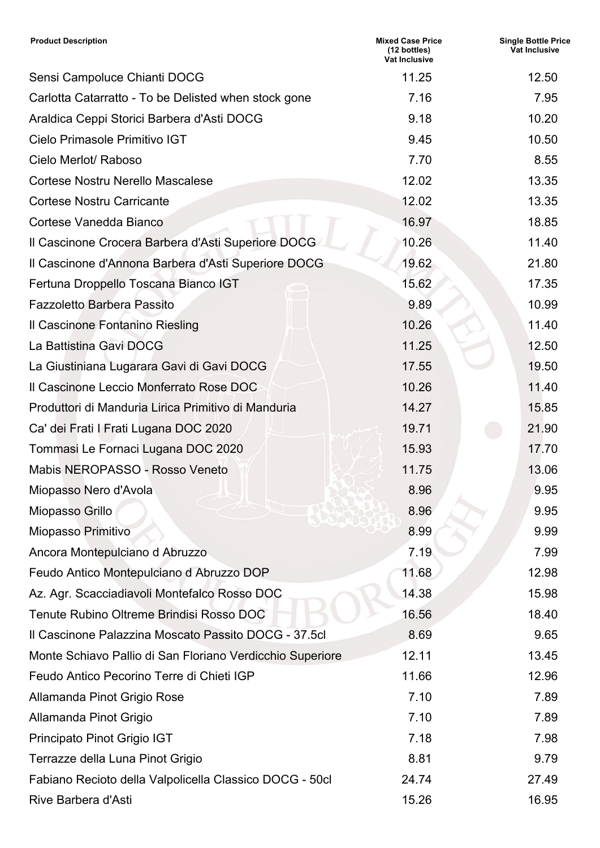| <b>Product Description</b>                                | <b>Mixed Case Price</b><br>(12 bottles)<br><b>Vat Inclusive</b> | <b>Single Bottle Price</b><br>Vat Inclusive |
|-----------------------------------------------------------|-----------------------------------------------------------------|---------------------------------------------|
| Sensi Campoluce Chianti DOCG                              | 11.25                                                           | 12.50                                       |
| Carlotta Catarratto - To be Delisted when stock gone      | 7.16                                                            | 7.95                                        |
| Araldica Ceppi Storici Barbera d'Asti DOCG                | 9.18                                                            | 10.20                                       |
| Cielo Primasole Primitivo IGT                             | 9.45                                                            | 10.50                                       |
| Cielo Merlot/ Raboso                                      | 7.70                                                            | 8.55                                        |
| Cortese Nostru Nerello Mascalese                          | 12.02                                                           | 13.35                                       |
| <b>Cortese Nostru Carricante</b>                          | 12.02                                                           | 13.35                                       |
| Cortese Vanedda Bianco                                    | 16.97                                                           | 18.85                                       |
| Il Cascinone Crocera Barbera d'Asti Superiore DOCG        | 10.26                                                           | 11.40                                       |
| Il Cascinone d'Annona Barbera d'Asti Superiore DOCG       | 19.62                                                           | 21.80                                       |
| Fertuna Droppello Toscana Bianco IGT                      | 15.62                                                           | 17.35                                       |
| <b>Fazzoletto Barbera Passito</b>                         | 9.89                                                            | 10.99                                       |
| Il Cascinone Fontanino Riesling                           | 10.26                                                           | 11.40                                       |
| La Battistina Gavi DOCG                                   | 11.25                                                           | 12.50                                       |
| La Giustiniana Lugarara Gavi di Gavi DOCG                 | 17.55                                                           | 19.50                                       |
| Il Cascinone Leccio Monferrato Rose DOC                   | 10.26                                                           | 11.40                                       |
| Produttori di Manduria Lirica Primitivo di Manduria       | 14.27                                                           | 15.85                                       |
| Ca' dei Frati I Frati Lugana DOC 2020                     | 19.71                                                           | 21.90                                       |
| Tommasi Le Fornaci Lugana DOC 2020                        | 15.93                                                           | 17.70                                       |
| Mabis NEROPASSO - Rosso Veneto                            | 11.75                                                           | 13.06                                       |
| Miopasso Nero d'Avola                                     | 8.96                                                            | 9.95                                        |
| Miopasso Grillo                                           | 8.96                                                            | 9.95                                        |
| <b>Miopasso Primitivo</b>                                 | 8.99                                                            | 9.99                                        |
| Ancora Montepulciano d Abruzzo                            | 7.19                                                            | 7.99                                        |
| Feudo Antico Montepulciano d Abruzzo DOP                  | 11.68                                                           | 12.98                                       |
| Az. Agr. Scacciadiavoli Montefalco Rosso DOC              | 14.38                                                           | 15.98                                       |
| Tenute Rubino Oltreme Brindisi Rosso DOC                  | 16.56                                                           | 18.40                                       |
| Il Cascinone Palazzina Moscato Passito DOCG - 37.5cl      | 8.69                                                            | 9.65                                        |
| Monte Schiavo Pallio di San Floriano Verdicchio Superiore | 12.11                                                           | 13.45                                       |
| Feudo Antico Pecorino Terre di Chieti IGP                 | 11.66                                                           | 12.96                                       |
| Allamanda Pinot Grigio Rose                               | 7.10                                                            | 7.89                                        |
| Allamanda Pinot Grigio                                    | 7.10                                                            | 7.89                                        |
| Principato Pinot Grigio IGT                               | 7.18                                                            | 7.98                                        |
| Terrazze della Luna Pinot Grigio                          | 8.81                                                            | 9.79                                        |
| Fabiano Recioto della Valpolicella Classico DOCG - 50cl   | 24.74                                                           | 27.49                                       |
| Rive Barbera d'Asti                                       | 15.26                                                           | 16.95                                       |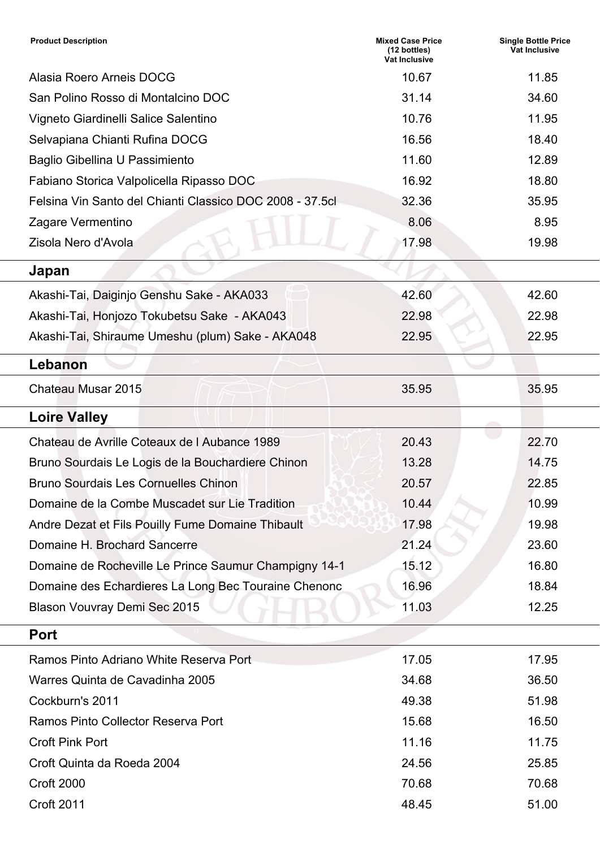| <b>Mixed Case Price</b><br>(12 bottles)<br>Vat Inclusive | <b>Single Bottle Price</b><br><b>Vat Inclusive</b> |
|----------------------------------------------------------|----------------------------------------------------|
| 10.67                                                    | 11.85                                              |
| 31.14                                                    | 34.60                                              |
| 10.76                                                    | 11.95                                              |
| 16.56                                                    | 18.40                                              |
| 11.60                                                    | 12.89                                              |
| 16.92                                                    | 18.80                                              |
| 32.36                                                    | 35.95                                              |
| 8.06                                                     | 8.95                                               |
| 17.98                                                    | 19.98                                              |
|                                                          |                                                    |
| 42.60                                                    | 42.60                                              |
| 22.98                                                    | 22.98                                              |
| 22.95                                                    | 22.95                                              |
|                                                          |                                                    |
| 35.95                                                    | 35.95                                              |
|                                                          |                                                    |
| 20.43                                                    | 22.70                                              |
| 13.28                                                    | 14.75                                              |
| 20.57                                                    | 22.85                                              |
| 10.44                                                    | 10.99                                              |
| 17.98                                                    | 19.98                                              |
| 21.24                                                    | 23.60                                              |
| 15.12                                                    | 16.80                                              |
| 16.96                                                    | 18.84                                              |
| 11.03                                                    | 12.25                                              |
|                                                          |                                                    |
| 17.05                                                    | 17.95                                              |
| 34.68                                                    | 36.50                                              |
| 49.38                                                    | 51.98                                              |
| 15.68                                                    | 16.50                                              |
| 11.16                                                    | 11.75                                              |
| 24.56                                                    | 25.85                                              |
| 70.68                                                    | 70.68                                              |
| 48.45                                                    | 51.00                                              |
|                                                          |                                                    |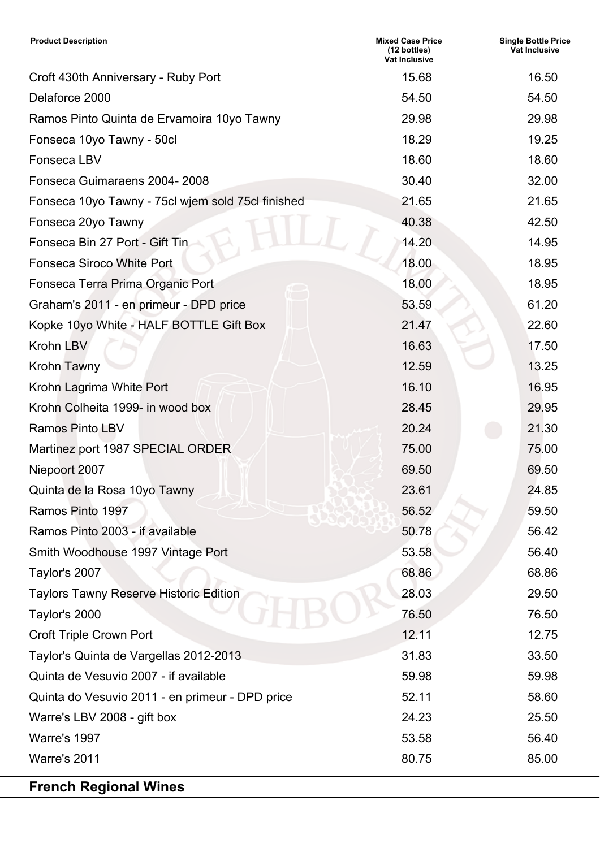| <b>Product Description</b>                        | <b>Mixed Case Price</b><br>(12 bottles)<br>Vat Inclusive | <b>Single Bottle Price</b><br><b>Vat Inclusive</b> |
|---------------------------------------------------|----------------------------------------------------------|----------------------------------------------------|
| Croft 430th Anniversary - Ruby Port               | 15.68                                                    | 16.50                                              |
| Delaforce 2000                                    | 54.50                                                    | 54.50                                              |
| Ramos Pinto Quinta de Ervamoira 10yo Tawny        | 29.98                                                    | 29.98                                              |
| Fonseca 10yo Tawny - 50cl                         | 18.29                                                    | 19.25                                              |
| Fonseca LBV                                       | 18.60                                                    | 18.60                                              |
| Fonseca Guimaraens 2004-2008                      | 30.40                                                    | 32.00                                              |
| Fonseca 10yo Tawny - 75cl wjem sold 75cl finished | 21.65                                                    | 21.65                                              |
| Fonseca 20yo Tawny                                | 40.38                                                    | 42.50                                              |
| Fonseca Bin 27 Port - Gift Tin                    | 14.20                                                    | 14.95                                              |
| <b>Fonseca Siroco White Port</b>                  | 18.00                                                    | 18.95                                              |
| Fonseca Terra Prima Organic Port                  | 18.00                                                    | 18.95                                              |
| Graham's 2011 - en primeur - DPD price            | 53.59                                                    | 61.20                                              |
| Kopke 10yo White - HALF BOTTLE Gift Box           | 21.47                                                    | 22.60                                              |
| Krohn LBV                                         | 16.63                                                    | 17.50                                              |
| Krohn Tawny                                       | 12.59                                                    | 13.25                                              |
| Krohn Lagrima White Port                          | 16.10                                                    | 16.95                                              |
| Krohn Colheita 1999- in wood box                  | 28.45                                                    | 29.95                                              |
| <b>Ramos Pinto LBV</b>                            | 20.24                                                    | 21.30                                              |
| Martinez port 1987 SPECIAL ORDER                  | 75.00                                                    | 75.00                                              |
| Niepoort 2007                                     | 69.50                                                    | 69.50                                              |
| Quinta de la Rosa 10yo Tawny                      | 23.61                                                    | 24.85                                              |
| Ramos Pinto 1997                                  | 56.52                                                    | 59.50                                              |
| Ramos Pinto 2003 - if available                   | 50.78                                                    | 56.42                                              |
| Smith Woodhouse 1997 Vintage Port                 | 53.58                                                    | 56.40                                              |
| Taylor's 2007                                     | 68.86                                                    | 68.86                                              |
| <b>Taylors Tawny Reserve Historic Edition</b>     | 28.03                                                    | 29.50                                              |
| Taylor's 2000                                     | 76.50                                                    | 76.50                                              |
| <b>Croft Triple Crown Port</b>                    | 12.11                                                    | 12.75                                              |
| Taylor's Quinta de Vargellas 2012-2013            | 31.83                                                    | 33.50                                              |
| Quinta de Vesuvio 2007 - if available             | 59.98                                                    | 59.98                                              |
| Quinta do Vesuvio 2011 - en primeur - DPD price   | 52.11                                                    | 58.60                                              |
| Warre's LBV 2008 - gift box                       | 24.23                                                    | 25.50                                              |
| <b>Warre's 1997</b>                               | 53.58                                                    | 56.40                                              |
| Warre's 2011                                      | 80.75                                                    | 85.00                                              |
| <b>French Regional Wines</b>                      |                                                          |                                                    |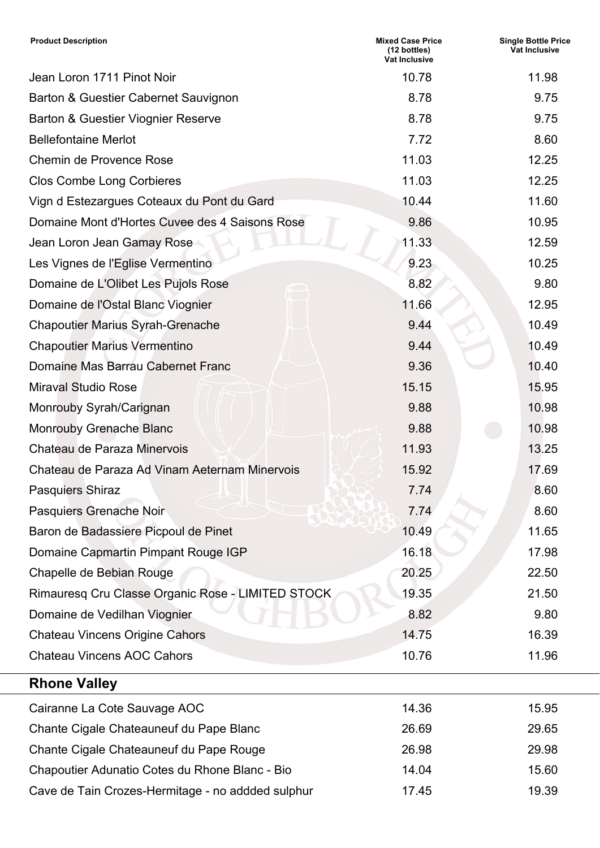| <b>Product Description</b>                        | <b>Mixed Case Price</b><br>(12 bottles)<br><b>Vat Inclusive</b> | <b>Single Bottle Price</b><br>Vat Inclusive |
|---------------------------------------------------|-----------------------------------------------------------------|---------------------------------------------|
| Jean Loron 1711 Pinot Noir                        | 10.78                                                           | 11.98                                       |
| Barton & Guestier Cabernet Sauvignon              | 8.78                                                            | 9.75                                        |
| <b>Barton &amp; Guestier Viognier Reserve</b>     | 8.78                                                            | 9.75                                        |
| <b>Bellefontaine Merlot</b>                       | 7.72                                                            | 8.60                                        |
| <b>Chemin de Provence Rose</b>                    | 11.03                                                           | 12.25                                       |
| <b>Clos Combe Long Corbieres</b>                  | 11.03                                                           | 12.25                                       |
| Vign d Estezargues Coteaux du Pont du Gard        | 10.44                                                           | 11.60                                       |
| Domaine Mont d'Hortes Cuvee des 4 Saisons Rose    | 9.86                                                            | 10.95                                       |
| Jean Loron Jean Gamay Rose                        | 11.33                                                           | 12.59                                       |
| Les Vignes de l'Eglise Vermentino                 | 9.23                                                            | 10.25                                       |
| Domaine de L'Olibet Les Pujols Rose               | 8.82                                                            | 9.80                                        |
| Domaine de l'Ostal Blanc Viognier                 | 11.66                                                           | 12.95                                       |
| <b>Chapoutier Marius Syrah-Grenache</b>           | 9.44                                                            | 10.49                                       |
| <b>Chapoutier Marius Vermentino</b>               | 9.44                                                            | 10.49                                       |
| Domaine Mas Barrau Cabernet Franc                 | 9.36                                                            | 10.40                                       |
| <b>Miraval Studio Rose</b>                        | 15.15                                                           | 15.95                                       |
| Monrouby Syrah/Carignan                           | 9.88                                                            | 10.98                                       |
| <b>Monrouby Grenache Blanc</b>                    | 9.88                                                            | 10.98                                       |
| Chateau de Paraza Minervois                       | 11.93                                                           | 13.25                                       |
| Chateau de Paraza Ad Vinam Aeternam Minervois     | 15.92                                                           | 17.69                                       |
| <b>Pasquiers Shiraz</b>                           | 7.74                                                            | 8.60                                        |
| Pasquiers Grenache Noir                           | 7.74                                                            | 8.60                                        |
| Baron de Badassiere Picpoul de Pinet              | 10.49                                                           | 11.65                                       |
| Domaine Capmartin Pimpant Rouge IGP               | 16.18                                                           | 17.98                                       |
| Chapelle de Bebian Rouge                          | 20.25                                                           | 22.50                                       |
| Rimauresq Cru Classe Organic Rose - LIMITED STOCK | 19.35                                                           | 21.50                                       |
| Domaine de Vedilhan Viognier                      | 8.82                                                            | 9.80                                        |
| <b>Chateau Vincens Origine Cahors</b>             | 14.75                                                           | 16.39                                       |
| <b>Chateau Vincens AOC Cahors</b>                 | 10.76                                                           | 11.96                                       |
| <b>Rhone Valley</b>                               |                                                                 |                                             |
| Cairanne La Cote Sauvage AOC                      | 14.36                                                           | 15.95                                       |
| Chante Cigale Chateauneuf du Pape Blanc           | 26.69                                                           | 29.65                                       |
| Chante Cigale Chateauneuf du Pape Rouge           | 26.98                                                           | 29.98                                       |
| Chapoutier Adunatio Cotes du Rhone Blanc - Bio    | 14.04                                                           | 15.60                                       |
| Cave de Tain Crozes-Hermitage - no addded sulphur | 17.45                                                           | 19.39                                       |
|                                                   |                                                                 |                                             |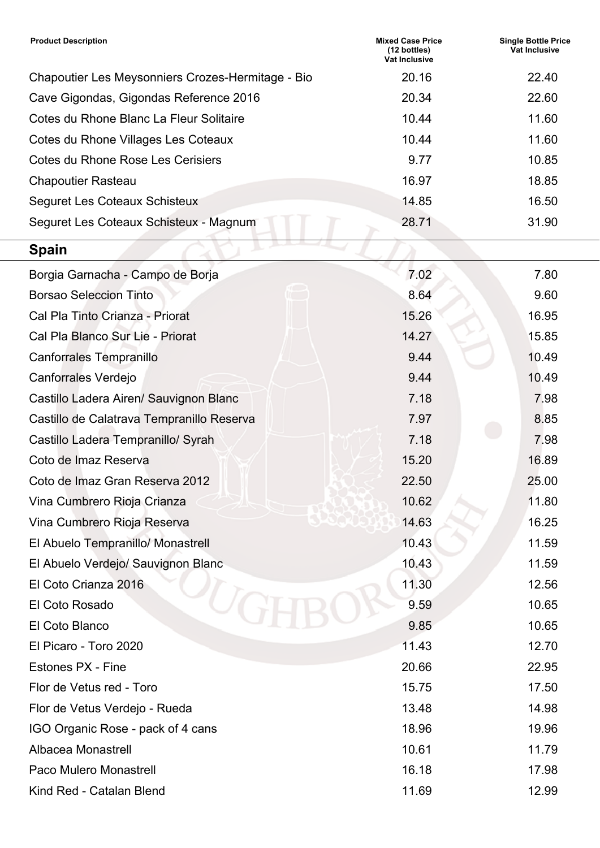| <b>Product Description</b>                        | <b>Mixed Case Price</b><br>(12 bottles)<br><b>Vat Inclusive</b> | <b>Single Bottle Price</b><br><b>Vat Inclusive</b> |
|---------------------------------------------------|-----------------------------------------------------------------|----------------------------------------------------|
| Chapoutier Les Meysonniers Crozes-Hermitage - Bio | 20.16                                                           | 22.40                                              |
| Cave Gigondas, Gigondas Reference 2016            | 20.34                                                           | 22.60                                              |
| Cotes du Rhone Blanc La Fleur Solitaire           | 10.44                                                           | 11.60                                              |
| Cotes du Rhone Villages Les Coteaux               | 10.44                                                           | 11.60                                              |
| Cotes du Rhone Rose Les Cerisiers                 | 9.77                                                            | 10.85                                              |
| <b>Chapoutier Rasteau</b>                         | 16.97                                                           | 18.85                                              |
| <b>Seguret Les Coteaux Schisteux</b>              | 14.85                                                           | 16.50                                              |
| Seguret Les Coteaux Schisteux - Magnum            | 28.71                                                           | 31.90                                              |
| <b>Spain</b>                                      |                                                                 |                                                    |
| Borgia Garnacha - Campo de Borja                  | 7.02                                                            | 7.80                                               |
| <b>Borsao Seleccion Tinto</b>                     | 8.64                                                            | 9.60                                               |
| Cal Pla Tinto Crianza - Priorat                   | 15.26                                                           | 16.95                                              |
| Cal Pla Blanco Sur Lie - Priorat                  | 14.27                                                           | 15.85                                              |
| Canforrales Tempranillo                           | 9.44                                                            | 10.49                                              |
| Canforrales Verdejo                               | 9.44                                                            | 10.49                                              |
| Castillo Ladera Airen/ Sauvignon Blanc            | 7.18                                                            | 7.98                                               |
| Castillo de Calatrava Tempranillo Reserva         | 7.97                                                            | 8.85                                               |
| Castillo Ladera Tempranillo/ Syrah                | 7.18                                                            | 7.98                                               |
| Coto de Imaz Reserva                              | 15.20                                                           | 16.89                                              |
| Coto de Imaz Gran Reserva 2012                    | 22.50                                                           | 25.00                                              |
| Vina Cumbrero Rioja Crianza                       | 10.62                                                           | 11.80                                              |
| Vina Cumbrero Rioja Reserva                       | 14.63                                                           | 16.25                                              |
| El Abuelo Tempranillo/ Monastrell                 | 10.43                                                           | 11.59                                              |
| El Abuelo Verdejo/ Sauvignon Blanc                | 10.43                                                           | 11.59                                              |
| El Coto Crianza 2016                              | 11.30                                                           | 12.56                                              |
| El Coto Rosado                                    | 9.59                                                            | 10.65                                              |
| El Coto Blanco                                    | 9.85                                                            | 10.65                                              |
| El Picaro - Toro 2020                             | 11.43                                                           | 12.70                                              |
| Estones PX - Fine                                 | 20.66                                                           | 22.95                                              |
| Flor de Vetus red - Toro                          | 15.75                                                           | 17.50                                              |
| Flor de Vetus Verdejo - Rueda                     | 13.48                                                           | 14.98                                              |
| IGO Organic Rose - pack of 4 cans                 | 18.96                                                           | 19.96                                              |
| Albacea Monastrell                                | 10.61                                                           | 11.79                                              |
| Paco Mulero Monastrell                            | 16.18                                                           | 17.98                                              |
| Kind Red - Catalan Blend                          | 11.69                                                           | 12.99                                              |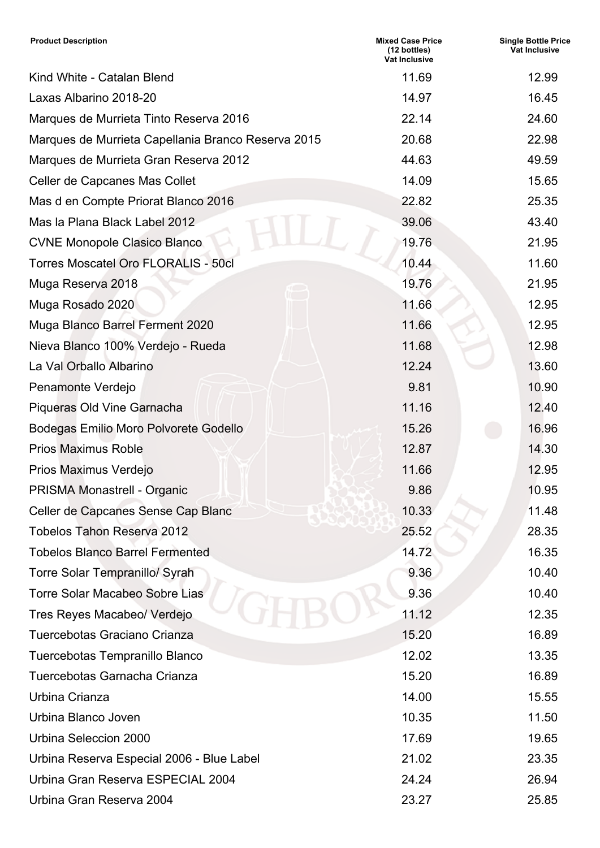| <b>Product Description</b>                         | <b>Mixed Case Price</b><br>(12 bottles)<br><b>Vat Inclusive</b> | <b>Single Bottle Price</b><br>Vat Inclusive |
|----------------------------------------------------|-----------------------------------------------------------------|---------------------------------------------|
| Kind White - Catalan Blend                         | 11.69                                                           | 12.99                                       |
| Laxas Albarino 2018-20                             | 14.97                                                           | 16.45                                       |
| Marques de Murrieta Tinto Reserva 2016             | 22.14                                                           | 24.60                                       |
| Marques de Murrieta Capellania Branco Reserva 2015 | 20.68                                                           | 22.98                                       |
| Marques de Murrieta Gran Reserva 2012              | 44.63                                                           | 49.59                                       |
| Celler de Capcanes Mas Collet                      | 14.09                                                           | 15.65                                       |
| Mas d en Compte Priorat Blanco 2016                | 22.82                                                           | 25.35                                       |
| Mas la Plana Black Label 2012                      | 39.06                                                           | 43.40                                       |
| <b>CVNE Monopole Clasico Blanco</b>                | 19.76                                                           | 21.95                                       |
| <b>Torres Moscatel Oro FLORALIS - 50cl</b>         | 10.44                                                           | 11.60                                       |
| Muga Reserva 2018                                  | 19.76                                                           | 21.95                                       |
| Muga Rosado 2020                                   | 11.66                                                           | 12.95                                       |
| Muga Blanco Barrel Ferment 2020                    | 11.66                                                           | 12.95                                       |
| Nieva Blanco 100% Verdejo - Rueda                  | 11.68                                                           | 12.98                                       |
| La Val Orballo Albarino                            | 12.24                                                           | 13.60                                       |
| Penamonte Verdejo                                  | 9.81                                                            | 10.90                                       |
| Piqueras Old Vine Garnacha                         | 11.16                                                           | 12.40                                       |
| Bodegas Emilio Moro Polvorete Godello              | 15.26                                                           | 16.96                                       |
| <b>Prios Maximus Roble</b>                         | 12.87                                                           | 14.30                                       |
| Prios Maximus Verdejo                              | 11.66                                                           | 12.95                                       |
| PRISMA Monastrell - Organic                        | 9.86                                                            | 10.95                                       |
| Celler de Capcanes Sense Cap Blanc                 | 10.33                                                           | 11.48                                       |
| <b>Tobelos Tahon Reserva 2012</b>                  | 25.52                                                           | 28.35                                       |
| <b>Tobelos Blanco Barrel Fermented</b>             | 14.72                                                           | 16.35                                       |
| <b>Torre Solar Tempranillo/ Syrah</b>              | 9.36                                                            | 10.40                                       |
| Torre Solar Macabeo Sobre Lias                     | 9.36                                                            | 10.40                                       |
| Tres Reyes Macabeo/ Verdejo                        | 11.12                                                           | 12.35                                       |
| Tuercebotas Graciano Crianza                       | 15.20                                                           | 16.89                                       |
| Tuercebotas Tempranillo Blanco                     | 12.02                                                           | 13.35                                       |
| Tuercebotas Garnacha Crianza                       | 15.20                                                           | 16.89                                       |
| Urbina Crianza                                     | 14.00                                                           | 15.55                                       |
| Urbina Blanco Joven                                | 10.35                                                           | 11.50                                       |
| Urbina Seleccion 2000                              | 17.69                                                           | 19.65                                       |
| Urbina Reserva Especial 2006 - Blue Label          | 21.02                                                           | 23.35                                       |
| Urbina Gran Reserva ESPECIAL 2004                  | 24.24                                                           | 26.94                                       |
| Urbina Gran Reserva 2004                           | 23.27                                                           | 25.85                                       |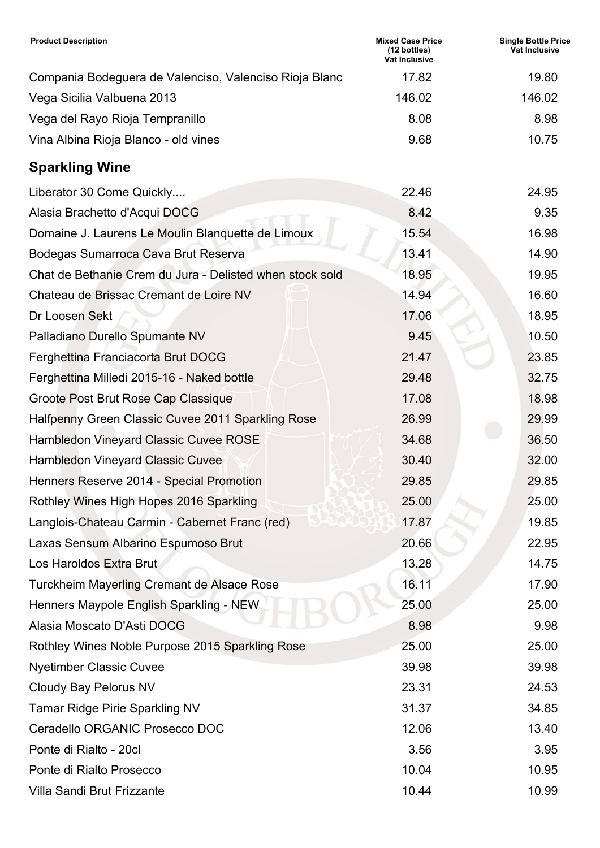| <b>Product Description</b>                             | <b>Mixed Case Price</b><br>$(12 \text{ bottles})$<br><b>Vat Inclusive</b> | <b>Single Bottle Price</b><br>Vat Inclusive |
|--------------------------------------------------------|---------------------------------------------------------------------------|---------------------------------------------|
| Compania Bodeguera de Valenciso, Valenciso Rioja Blanc | 17.82                                                                     | 19.80                                       |
| Vega Sicilia Valbuena 2013                             | 146.02                                                                    | 146.02                                      |
| Vega del Rayo Rioja Tempranillo                        | 8.08                                                                      | 8.98                                        |
| Vina Albina Rioja Blanco - old vines                   | 9.68                                                                      | 10.75                                       |

## **Sparkling Wine**

| Liberator 30 Come Quickly                                | 22.46 | 24.95 |
|----------------------------------------------------------|-------|-------|
| Alasia Brachetto d'Acqui DOCG                            | 8.42  | 9.35  |
| Domaine J. Laurens Le Moulin Blanquette de Limoux        | 15.54 | 16.98 |
| Bodegas Sumarroca Cava Brut Reserva                      | 13.41 | 14.90 |
| Chat de Bethanie Crem du Jura - Delisted when stock sold | 18.95 | 19.95 |
| Chateau de Brissac Cremant de Loire NV                   | 14.94 | 16.60 |
| Dr Loosen Sekt                                           | 17.06 | 18.95 |
| Palladiano Durello Spumante NV                           | 9.45  | 10.50 |
| Ferghettina Franciacorta Brut DOCG                       | 21.47 | 23.85 |
| Ferghettina Milledi 2015-16 - Naked bottle               | 29.48 | 32.75 |
| Groote Post Brut Rose Cap Classique                      | 17.08 | 18.98 |
| Halfpenny Green Classic Cuvee 2011 Sparkling Rose        | 26.99 | 29.99 |
| <b>Hambledon Vineyard Classic Cuvee ROSE</b>             | 34.68 | 36.50 |
| <b>Hambledon Vineyard Classic Cuvee</b>                  | 30.40 | 32.00 |
| Henners Reserve 2014 - Special Promotion                 | 29.85 | 29.85 |
| Rothley Wines High Hopes 2016 Sparkling                  | 25.00 | 25.00 |
| Langlois-Chateau Carmin - Cabernet Franc (red)           | 17.87 | 19.85 |
| Laxas Sensum Albarino Espumoso Brut                      | 20.66 | 22.95 |
| Los Haroldos Extra Brut                                  | 13.28 | 14.75 |
| Turckheim Mayerling Cremant de Alsace Rose               | 16.11 | 17.90 |
| Henners Maypole English Sparkling - NEW                  | 25.00 | 25.00 |
| Alasia Moscato D'Asti DOCG                               | 8.98  | 9.98  |
| Rothley Wines Noble Purpose 2015 Sparkling Rose          | 25.00 | 25.00 |
| <b>Nyetimber Classic Cuvee</b>                           | 39.98 | 39.98 |
| <b>Cloudy Bay Pelorus NV</b>                             | 23.31 | 24.53 |
| <b>Tamar Ridge Pirie Sparkling NV</b>                    | 31.37 | 34.85 |
| Ceradello ORGANIC Prosecco DOC                           | 12.06 | 13.40 |
| Ponte di Rialto - 20cl                                   | 3.56  | 3.95  |
| Ponte di Rialto Prosecco                                 | 10.04 | 10.95 |
| <b>Villa Sandi Brut Frizzante</b>                        | 10.44 | 10.99 |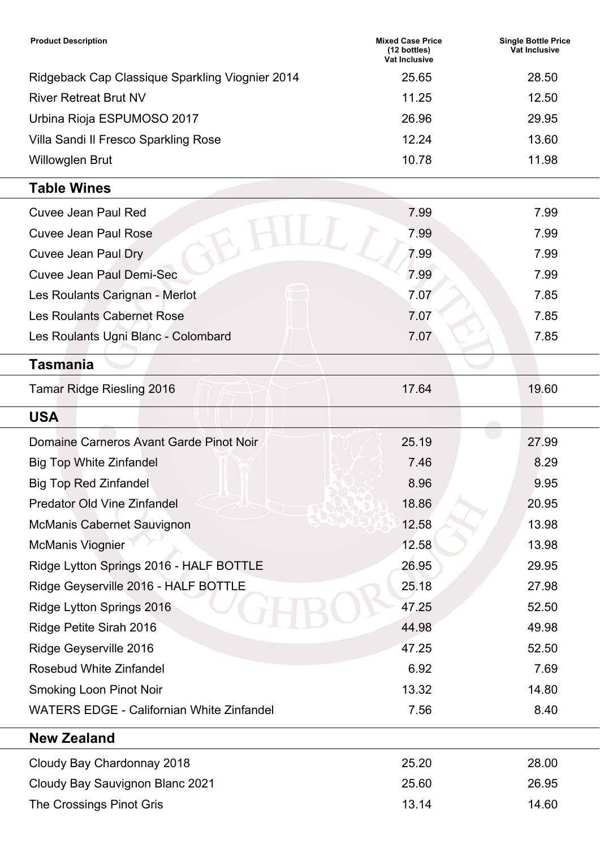| <b>Product Description</b>                      | <b>Mixed Case Price</b><br>$(12 \text{ bottles})$<br>Vat Inclusive | <b>Single Bottle Price</b><br>Vat Inclusive |
|-------------------------------------------------|--------------------------------------------------------------------|---------------------------------------------|
| Ridgeback Cap Classique Sparkling Viognier 2014 | 25.65                                                              | 28.50                                       |
| <b>River Retreat Brut NV</b>                    | 11.25                                                              | 12.50                                       |
| Urbina Rioja ESPUMOSO 2017                      | 26.96                                                              | 29.95                                       |
| Villa Sandi II Fresco Sparkling Rose            | 12.24                                                              | 13.60                                       |
| <b>Willowglen Brut</b>                          | 10.78                                                              | 11.98                                       |

## **Table Wines**

| <b>Cuvee Jean Paul Red</b>                       | 7.99  | 7.99  |
|--------------------------------------------------|-------|-------|
| <b>Cuvee Jean Paul Rose</b>                      | 7.99  | 7.99  |
| <b>Cuvee Jean Paul Dry</b>                       | 7.99  | 7.99  |
| <b>Cuvee Jean Paul Demi-Sec</b>                  | 7.99  | 7.99  |
| Les Roulants Carignan - Merlot                   | 7.07  | 7.85  |
| <b>Les Roulants Cabernet Rose</b>                | 7.07  | 7.85  |
| Les Roulants Ugni Blanc - Colombard              | 7.07  | 7.85  |
| <b>Tasmania</b>                                  |       |       |
| <b>Tamar Ridge Riesling 2016</b>                 | 17.64 | 19.60 |
| <b>USA</b>                                       |       |       |
| Domaine Carneros Avant Garde Pinot Noir          | 25.19 | 27.99 |
| <b>Big Top White Zinfandel</b>                   | 7.46  | 8.29  |
| <b>Big Top Red Zinfandel</b>                     | 8.96  | 9.95  |
| <b>Predator Old Vine Zinfandel</b>               | 18.86 | 20.95 |
| <b>McManis Cabernet Sauvignon</b>                | 12.58 | 13.98 |
| <b>McManis Viognier</b>                          | 12.58 | 13.98 |
| Ridge Lytton Springs 2016 - HALF BOTTLE          | 26.95 | 29.95 |
| Ridge Geyserville 2016 - HALF BOTTLE             | 25.18 | 27.98 |
| Ridge Lytton Springs 2016                        | 47.25 | 52.50 |
| Ridge Petite Sirah 2016                          | 44.98 | 49.98 |
| Ridge Geyserville 2016                           | 47.25 | 52.50 |
| <b>Rosebud White Zinfandel</b>                   | 6.92  | 7.69  |
| <b>Smoking Loon Pinot Noir</b>                   | 13.32 | 14.80 |
| <b>WATERS EDGE - Californian White Zinfandel</b> | 7.56  | 8.40  |
| <b>New Zealand</b>                               |       |       |
| Cloudy Bay Chardonnay 2018                       | 25.20 | 28.00 |
| Cloudy Bay Sauvignon Blanc 2021                  | 25.60 | 26.95 |
| The Crossings Pinot Gris                         | 13.14 | 14.60 |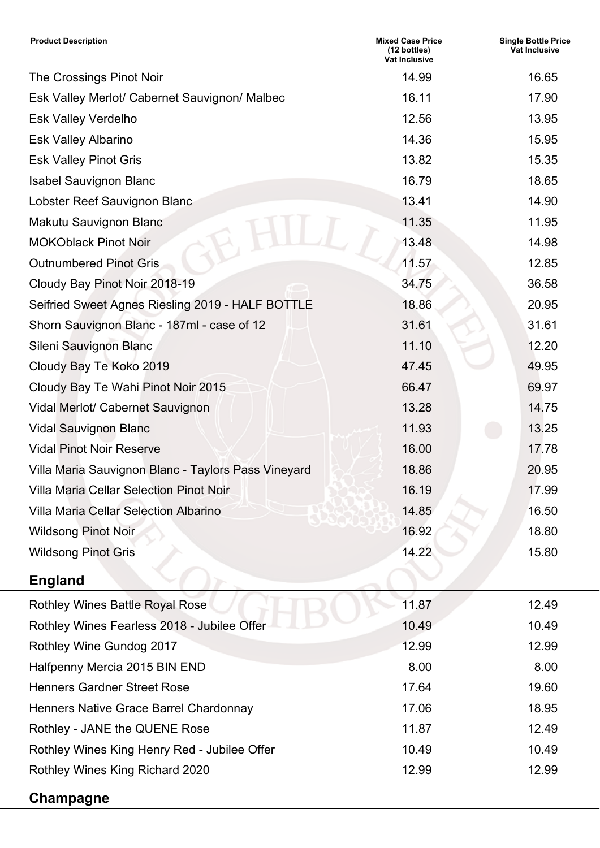| <b>Product Description</b>                          | <b>Mixed Case Price</b><br>(12 bottles)<br>Vat Inclusive | <b>Single Bottle Price</b><br><b>Vat Inclusive</b> |
|-----------------------------------------------------|----------------------------------------------------------|----------------------------------------------------|
| The Crossings Pinot Noir                            | 14.99                                                    | 16.65                                              |
| Esk Valley Merlot/ Cabernet Sauvignon/ Malbec       | 16.11                                                    | 17.90                                              |
| <b>Esk Valley Verdelho</b>                          | 12.56                                                    | 13.95                                              |
| <b>Esk Valley Albarino</b>                          | 14.36                                                    | 15.95                                              |
| <b>Esk Valley Pinot Gris</b>                        | 13.82                                                    | 15.35                                              |
| <b>Isabel Sauvignon Blanc</b>                       | 16.79                                                    | 18.65                                              |
| Lobster Reef Sauvignon Blanc                        | 13.41                                                    | 14.90                                              |
| Makutu Sauvignon Blanc                              | 11.35                                                    | 11.95                                              |
| <b>MOKOblack Pinot Noir</b>                         | 13.48                                                    | 14.98                                              |
| <b>Outnumbered Pinot Gris</b>                       | 11.57                                                    | 12.85                                              |
| Cloudy Bay Pinot Noir 2018-19                       | 34.75                                                    | 36.58                                              |
| Seifried Sweet Agnes Riesling 2019 - HALF BOTTLE    | 18.86                                                    | 20.95                                              |
| Shorn Sauvignon Blanc - 187ml - case of 12          | 31.61                                                    | 31.61                                              |
| Sileni Sauvignon Blanc                              | 11.10                                                    | 12.20                                              |
| Cloudy Bay Te Koko 2019                             | 47.45                                                    | 49.95                                              |
| Cloudy Bay Te Wahi Pinot Noir 2015                  | 66.47                                                    | 69.97                                              |
| Vidal Merlot/ Cabernet Sauvignon                    | 13.28                                                    | 14.75                                              |
| <b>Vidal Sauvignon Blanc</b>                        | 11.93                                                    | 13.25                                              |
| <b>Vidal Pinot Noir Reserve</b>                     | 16.00                                                    | 17.78                                              |
| Villa Maria Sauvignon Blanc - Taylors Pass Vineyard | 18.86                                                    | 20.95                                              |
| Villa Maria Cellar Selection Pinot Noir             | 16.19                                                    | 17.99                                              |
| <b>Villa Maria Cellar Selection Albarino</b>        | 14.85                                                    | 16.50                                              |
| <b>Wildsong Pinot Noir</b>                          | 16.92                                                    | 18.80                                              |
| <b>Wildsong Pinot Gris</b>                          | 14.22                                                    | 15.80                                              |
| <b>England</b>                                      |                                                          |                                                    |
| <b>Rothley Wines Battle Royal Rose</b>              | 11.87                                                    | 12.49                                              |
| Rothley Wines Fearless 2018 - Jubilee Offer         | 10.49                                                    | 10.49                                              |
| Rothley Wine Gundog 2017                            | 12.99                                                    | 12.99                                              |
| Halfpenny Mercia 2015 BIN END                       | 8.00                                                     | 8.00                                               |
| <b>Henners Gardner Street Rose</b>                  | 17.64                                                    | 19.60                                              |
| Henners Native Grace Barrel Chardonnay              | 17.06                                                    | 18.95                                              |
| Rothley - JANE the QUENE Rose                       | 11.87                                                    | 12.49                                              |
| Rothley Wines King Henry Red - Jubilee Offer        | 10.49                                                    | 10.49                                              |
| Rothley Wines King Richard 2020                     | 12.99                                                    | 12.99                                              |
| Champagne                                           |                                                          |                                                    |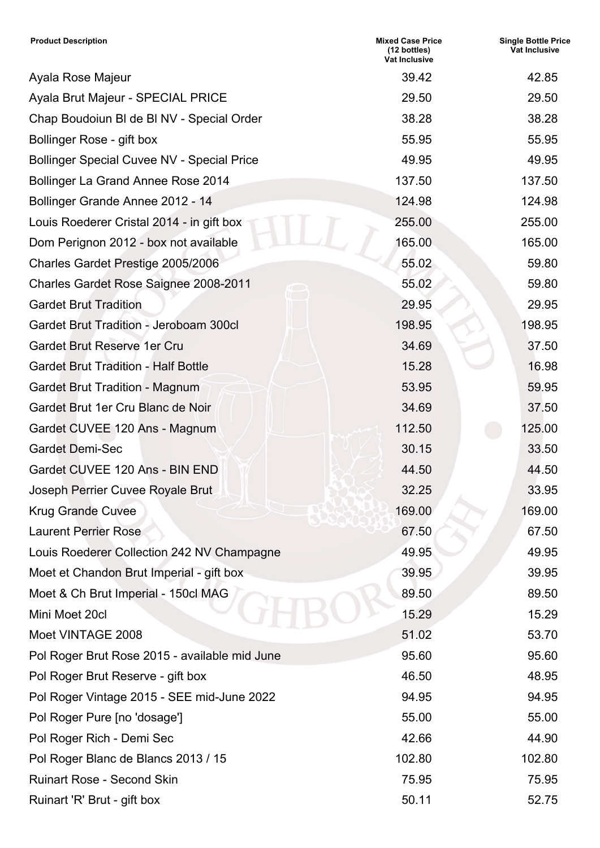| <b>Product Description</b>                        | <b>Mixed Case Price</b><br>(12 bottles)<br><b>Vat Inclusive</b> | <b>Single Bottle Price</b><br><b>Vat Inclusive</b> |
|---------------------------------------------------|-----------------------------------------------------------------|----------------------------------------------------|
| Ayala Rose Majeur                                 | 39.42                                                           | 42.85                                              |
| Ayala Brut Majeur - SPECIAL PRICE                 | 29.50                                                           | 29.50                                              |
| Chap Boudoiun BI de BI NV - Special Order         | 38.28                                                           | 38.28                                              |
| Bollinger Rose - gift box                         | 55.95                                                           | 55.95                                              |
| <b>Bollinger Special Cuvee NV - Special Price</b> | 49.95                                                           | 49.95                                              |
| Bollinger La Grand Annee Rose 2014                | 137.50                                                          | 137.50                                             |
| Bollinger Grande Annee 2012 - 14                  | 124.98                                                          | 124.98                                             |
| Louis Roederer Cristal 2014 - in gift box         | 255.00                                                          | 255.00                                             |
| Dom Perignon 2012 - box not available             | 165.00                                                          | 165.00                                             |
| Charles Gardet Prestige 2005/2006                 | 55.02                                                           | 59.80                                              |
| <b>Charles Gardet Rose Saignee 2008-2011</b>      | 55.02                                                           | 59.80                                              |
| <b>Gardet Brut Tradition</b>                      | 29.95                                                           | 29.95                                              |
| <b>Gardet Brut Tradition - Jeroboam 300cl</b>     | 198.95                                                          | 198.95                                             |
| <b>Gardet Brut Reserve 1er Cru</b>                | 34.69                                                           | 37.50                                              |
| <b>Gardet Brut Tradition - Half Bottle</b>        | 15.28                                                           | 16.98                                              |
| <b>Gardet Brut Tradition - Magnum</b>             | 53.95                                                           | 59.95                                              |
| Gardet Brut 1er Cru Blanc de Noir                 | 34.69                                                           | 37.50                                              |
| Gardet CUVEE 120 Ans - Magnum                     | 112.50                                                          | 125.00                                             |
| <b>Gardet Demi-Sec</b>                            | 30.15                                                           | 33.50                                              |
| Gardet CUVEE 120 Ans - BIN END                    | 44.50                                                           | 44.50                                              |
| Joseph Perrier Cuvee Royale Brut                  | 32.25                                                           | 33.95                                              |
| <b>Krug Grande Cuvee</b>                          | 169.00                                                          | 169.00                                             |
| <b>Laurent Perrier Rose</b>                       | 67.50                                                           | 67.50                                              |
| Louis Roederer Collection 242 NV Champagne        | 49.95                                                           | 49.95                                              |
| Moet et Chandon Brut Imperial - gift box          | 39.95                                                           | 39.95                                              |
| Moet & Ch Brut Imperial - 150cl MAG               | 89.50                                                           | 89.50                                              |
| Mini Moet 20cl                                    | 15.29                                                           | 15.29                                              |
| Moet VINTAGE 2008                                 | 51.02                                                           | 53.70                                              |
| Pol Roger Brut Rose 2015 - available mid June     | 95.60                                                           | 95.60                                              |
| Pol Roger Brut Reserve - gift box                 | 46.50                                                           | 48.95                                              |
| Pol Roger Vintage 2015 - SEE mid-June 2022        | 94.95                                                           | 94.95                                              |
| Pol Roger Pure [no 'dosage']                      | 55.00                                                           | 55.00                                              |
| Pol Roger Rich - Demi Sec                         | 42.66                                                           | 44.90                                              |
| Pol Roger Blanc de Blancs 2013 / 15               | 102.80                                                          | 102.80                                             |
| <b>Ruinart Rose - Second Skin</b>                 | 75.95                                                           | 75.95                                              |
| Ruinart 'R' Brut - gift box                       | 50.11                                                           | 52.75                                              |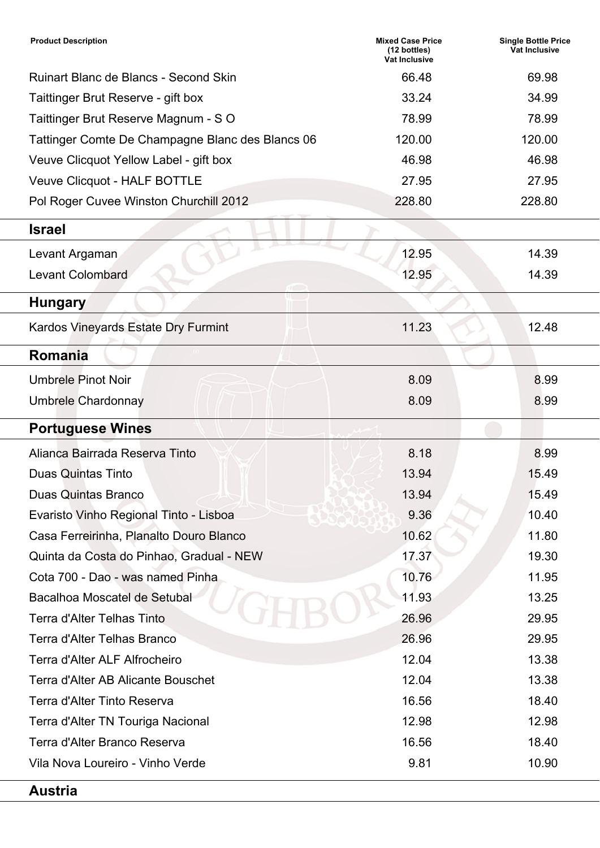| <b>Product Description</b>                       | <b>Mixed Case Price</b><br>(12 bottles)<br><b>Vat Inclusive</b> | <b>Single Bottle Price</b><br>Vat Inclusive |
|--------------------------------------------------|-----------------------------------------------------------------|---------------------------------------------|
| <b>Ruinart Blanc de Blancs - Second Skin</b>     | 66.48                                                           | 69.98                                       |
| Taittinger Brut Reserve - gift box               | 33.24                                                           | 34.99                                       |
| Taittinger Brut Reserve Magnum - SO              | 78.99                                                           | 78.99                                       |
| Tattinger Comte De Champagne Blanc des Blancs 06 | 120.00                                                          | 120.00                                      |
| Veuve Clicquot Yellow Label - gift box           | 46.98                                                           | 46.98                                       |
| Veuve Clicquot - HALF BOTTLE                     | 27.95                                                           | 27.95                                       |
| Pol Roger Cuvee Winston Churchill 2012           | 228.80                                                          | 228.80                                      |
| <b>Israel</b>                                    |                                                                 |                                             |
| Levant Argaman                                   | 12.95                                                           | 14.39                                       |
| <b>Levant Colombard</b>                          | 12.95                                                           | 14.39                                       |
| <b>Hungary</b>                                   |                                                                 |                                             |
| Kardos Vineyards Estate Dry Furmint              | 11.23                                                           | 12.48                                       |
| Romania                                          |                                                                 |                                             |
| <b>Umbrele Pinot Noir</b>                        | 8.09                                                            | 8.99                                        |
| <b>Umbrele Chardonnay</b>                        | 8.09                                                            | 8.99                                        |
| <b>Portuguese Wines</b>                          |                                                                 |                                             |
| Alianca Bairrada Reserva Tinto                   | 8.18                                                            | 8.99                                        |
| <b>Duas Quintas Tinto</b>                        | 13.94                                                           | 15.49                                       |
| Duas Quintas Branco                              | 13.94                                                           | 15.49                                       |
| Evaristo Vinho Regional Tinto - Lisboa           | 9.36                                                            | 10.40                                       |
| Casa Ferreirinha, Planalto Douro Blanco          | 10.62                                                           | 11.80                                       |
| Quinta da Costa do Pinhao, Gradual - NEW         | 17.37                                                           | 19.30                                       |
| Cota 700 - Dao - was named Pinha                 | 10.76                                                           | 11.95                                       |
| Bacalhoa Moscatel de Setubal                     | 11.93                                                           | 13.25                                       |
| <b>Terra d'Alter Telhas Tinto</b>                | 26.96                                                           | 29.95                                       |
| <b>Terra d'Alter Telhas Branco</b>               | 26.96                                                           | 29.95                                       |
| Terra d'Alter ALF Alfrocheiro                    | 12.04                                                           | 13.38                                       |
| Terra d'Alter AB Alicante Bouschet               | 12.04                                                           | 13.38                                       |
| Terra d'Alter Tinto Reserva                      | 16.56                                                           | 18.40                                       |
| Terra d'Alter TN Touriga Nacional                | 12.98                                                           | 12.98                                       |
| Terra d'Alter Branco Reserva                     | 16.56                                                           | 18.40                                       |
| Vila Nova Loureiro - Vinho Verde                 | 9.81                                                            | 10.90                                       |
| <b>Austria</b>                                   |                                                                 |                                             |